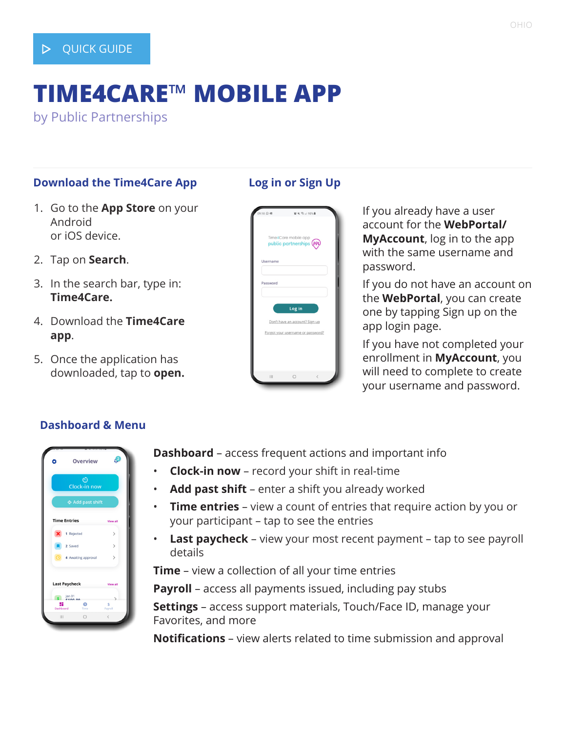# **TIME4CARE**™ **MOBILE APP**

by Public Partnerships

#### **Download the Time4Care App**

- 1. Go to the **App Store** on your Android or iOS device.
- 2. Tap on **Search**.
- 3. In the search bar, type in: **Time4Care.**
- 4. Download the **Time4Care app**.
- 5. Once the application has downloaded, tap to **open.**

## **Log in or Sign Up**

| 09:18 © 画 | 百米 % 198%                                                                     |                          |  |
|-----------|-------------------------------------------------------------------------------|--------------------------|--|
|           | Time4Care mobile app<br>public partnerships (PPL)                             |                          |  |
| Username  |                                                                               |                          |  |
|           |                                                                               |                          |  |
| Password  |                                                                               |                          |  |
|           | Log in<br>Don't have an account? Sign up<br>Forgot your username or password? |                          |  |
|           | $\bigcirc$                                                                    | $\overline{\phantom{a}}$ |  |

If you already have a user account for the **WebPortal/ MyAccount**, log in to the app with the same username and password.

If you do not have an account on the **WebPortal**, you can create one by tapping Sign up on the app login page.

If you have not completed your enrollment in **MyAccount**, you will need to complete to create your username and password.

# Overview  $\bigcirc$  Clock-in now <del>ው</del><br>Add past shi **Time Entries X** 1 Rejected 2 Saved 4 Awaiting appro Last Paycheck

**Dashboard & Menu**

**Dashboard** – access frequent actions and important info

- **Clock-in now**  record your shift in real-time
- **Add past shift** enter a shift you already worked
- **Time entries** view a count of entries that require action by you or your participant – tap to see the entries
- **Last paycheck** view your most recent payment tap to see payroll details

**Time** – view a collection of all your time entries

**Payroll** – access all payments issued, including pay stubs

**Settings** – access support materials, Touch/Face ID, manage your Favorites, and more

**Notifications** – view alerts related to time submission and approval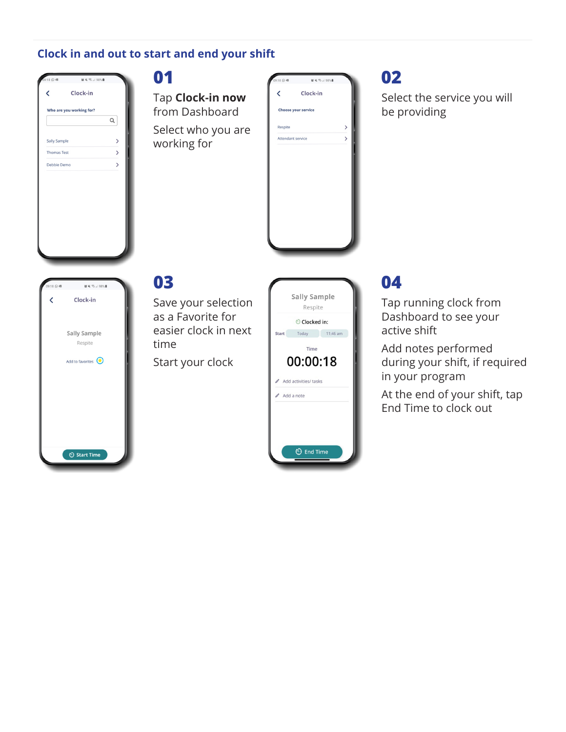## **Clock in and out to start and end your shift**

| K                  | Clock-in                 |                   |
|--------------------|--------------------------|-------------------|
|                    | Who are you working for? |                   |
|                    |                          | Q                 |
| Sally Sample       |                          | $\overline{ }$    |
| <b>Thomas Test</b> |                          | $\mathbf{\hat{}}$ |
| Debbie Demo        |                          | $\mathbf{\hat{}}$ |
|                    |                          |                   |
|                    |                          |                   |
|                    |                          |                   |
|                    |                          |                   |
|                    |                          |                   |
|                    |                          |                   |

#### **01**

Tap **Clock-in now**  from Dashboard Select who you are working for



# **02**

Select the service you will be providing



# **03**

Save your selection as a Favorite for easier clock in next time

Start your clock

|              | <b>Sally Sample</b><br>Respite |  |
|--------------|--------------------------------|--|
|              | Clocked in:                    |  |
| <b>Start</b> | 11:46 am<br>Today              |  |
|              | Time                           |  |
|              | 00:00:18                       |  |
|              | Add activities/ tasks          |  |
|              | Add a note                     |  |
|              |                                |  |
|              |                                |  |
|              | <b>♦ End Time</b>              |  |

# **04**

Tap running clock from Dashboard to see your active shift

Add notes performed during your shift, if required in your program

At the end of your shift, tap End Time to clock out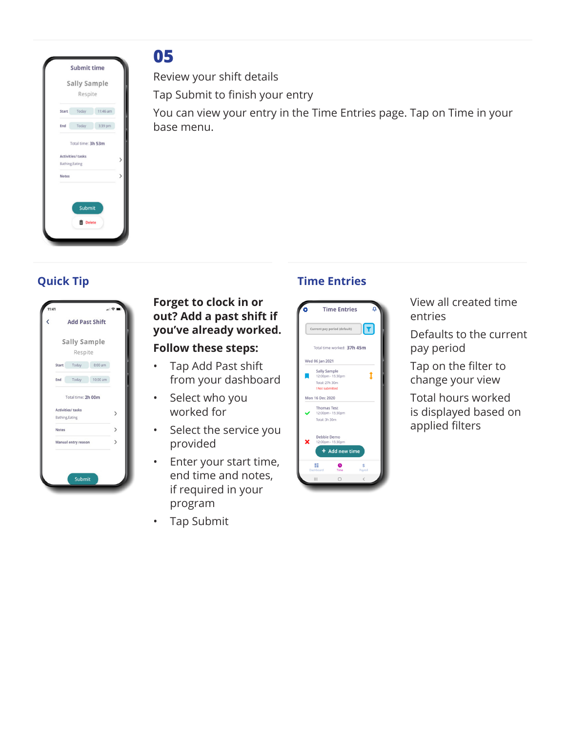

# **05**

Review your shift details

Tap Submit to finish your entry

You can view your entry in the Time Entries page. Tap on Time in your base menu.

|              | <b>Add Past Shift</b>    |          |  |
|--------------|--------------------------|----------|--|
|              | <b>Sally Sample</b>      |          |  |
|              | Respite                  |          |  |
| <b>Start</b> | Today                    | 8:00 am  |  |
| End          | Today                    | 10:00 am |  |
|              | Total time: 2h 00m       |          |  |
|              | <b>Activities/ tasks</b> |          |  |
|              | Bathing, Eating          |          |  |
| <b>Notes</b> |                          |          |  |
|              | Manual entry reason      |          |  |
|              |                          |          |  |

## **Forget to clock in or out? Add a past shift if you've already worked.**

### **Follow these steps:**

- Tap Add Past shift from your dashboard
- Select who you worked for
- Select the service you provided
- Enter your start time, end time and notes, if required in your program
- Tap Submit

# **Quick Tip Time Entries**



View all created time entries

Defaults to the current pay period

Tap on the filter to change your view

Total hours worked is displayed based on applied filters